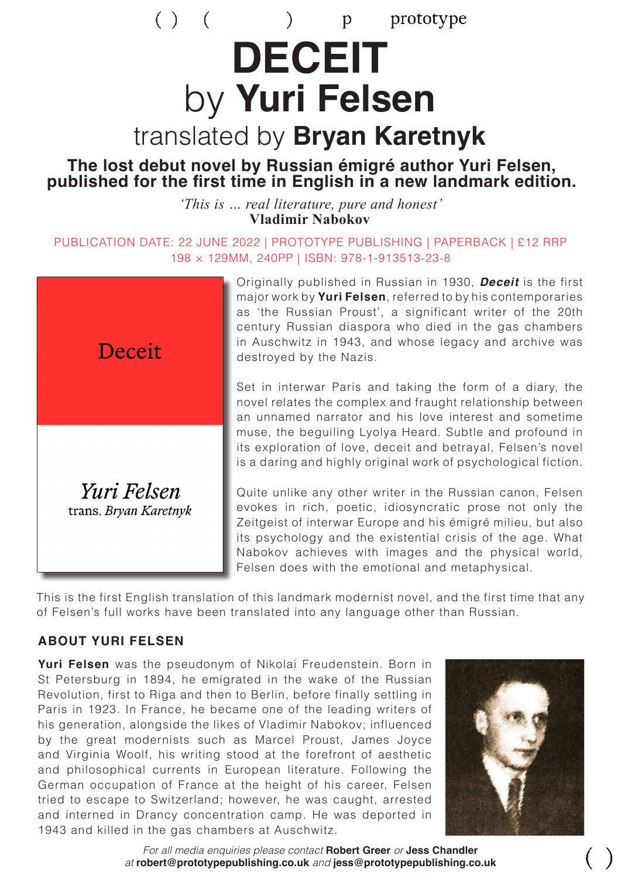# $( )$  (  $\sum_{i=1}^{n}$ prototype p **DECEIT** by **Yuri Felsen** translated by **Bryan Karetnyk**

# **The lost debut novel by Russian émigré author Yuri Felsen, published for the first time in English in a new landmark edition.**

*'This is … real literature, pure and honest'* **Vladimir Nabokov**

PUBLICATION DATE: 22 JUNE 2022 | PROTOTYPE PUBLISHING | PAPERBACK | £12 RRP 198 × 129MM, 240PP | ISBN: 978-1-913513-23-8



Originally published in Russian in 1930, *Deceit* is the first major work by **Yuri Felsen**, referred to by his contemporaries as 'the Russian Proust', a significant writer of the 20th century Russian diaspora who died in the gas chambers in Auschwitz in 1943, and whose legacy and archive was destroyed by the Nazis.

Set in interwar Paris and taking the form of a diary, the novel relates the complex and fraught relationship between an unnamed narrator and his love interest and sometime muse, the beguiling Lyolya Heard. Subtle and profound in its exploration of love, deceit and betrayal, Felsen's novel is a daring and highly original work of psychological fiction.

Quite unlike any other writer in the Russian canon, Felsen evokes in rich, poetic, idiosyncratic prose not only the Zeitgeist of interwar Europe and his émigré milieu, but also its psychology and the existential crisis of the age. What Nabokov achieves with images and the physical world, Felsen does with the emotional and metaphysical.

This is the first English translation of this landmark modernist novel, and the first time that any of Felsen's full works have been translated into any language other than Russian.

#### **ABOUT YURI FELSEN**

**Yuri Felsen** was the pseudonym of Nikolai Freudenstein. Born in St Petersburg in 1894, he emigrated in the wake of the Russian Revolution, first to Riga and then to Berlin, before finally settling in Paris in 1923. In France, he became one of the leading writers of his generation, alongside the likes of Vladimir Nabokov; influenced by the great modernists such as Marcel Proust, James Joyce and Virginia Woolf, his writing stood at the forefront of aesthetic and philosophical currents in European literature. Following the German occupation of France at the height of his career, Felsen tried to escape to Switzerland; however, he was caught, arrested and interned in Drancy concentration camp. He was deported in 1943 and killed in the gas chambers at Auschwitz.



*For all media enquiries please contact* **Robert Greer** *or* **Jess Chandler**  *at* **robert@prototypepublishing.co.uk** *and* **jess@prototypepublishing.co.uk**